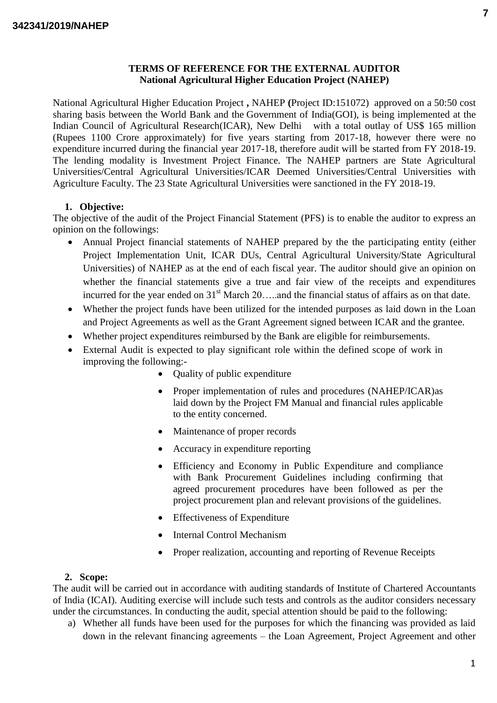## **TERMS OF REFERENCE FOR THE EXTERNAL AUDITOR National Agricultural Higher Education Project (NAHEP)**

National Agricultural Higher Education Project **,** NAHEP **(**Project ID:151072) approved on a 50:50 cost sharing basis between the World Bank and the Government of India(GOI), is being implemented at the Indian Council of Agricultural Research(ICAR), New Delhi with a total outlay of US\$ 165 million (Rupees 1100 Crore approximately) for five years starting from 2017-18, however there were no expenditure incurred during the financial year 2017-18, therefore audit will be started from FY 2018-19. The lending modality is Investment Project Finance. The NAHEP partners are State Agricultural Universities/Central Agricultural Universities/ICAR Deemed Universities/Central Universities with Agriculture Faculty. The 23 State Agricultural Universities were sanctioned in the FY 2018-19.

# **1. Objective:**

The objective of the audit of the Project Financial Statement (PFS) is to enable the auditor to express an opinion on the followings:

- Annual Project financial statements of NAHEP prepared by the the participating entity (either Project Implementation Unit, ICAR DUs, Central Agricultural University/State Agricultural Universities) of NAHEP as at the end of each fiscal year. The auditor should give an opinion on whether the financial statements give a true and fair view of the receipts and expenditures incurred for the year ended on  $31<sup>st</sup>$  March 20....and the financial status of affairs as on that date.
- Whether the project funds have been utilized for the intended purposes as laid down in the Loan and Project Agreements as well as the Grant Agreement signed between ICAR and the grantee.
- Whether project expenditures reimbursed by the Bank are eligible for reimbursements.
- External Audit is expected to play significant role within the defined scope of work in improving the following:-
	- Quality of public expenditure
	- Proper implementation of rules and procedures (NAHEP/ICAR) as laid down by the Project FM Manual and financial rules applicable to the entity concerned.
	- Maintenance of proper records
	- Accuracy in expenditure reporting
	- Efficiency and Economy in Public Expenditure and compliance with Bank Procurement Guidelines including confirming that agreed procurement procedures have been followed as per the project procurement plan and relevant provisions of the guidelines.
	- Effectiveness of Expenditure
	- Internal Control Mechanism
	- Proper realization, accounting and reporting of Revenue Receipts

## **2. Scope:**

The audit will be carried out in accordance with auditing standards of Institute of Chartered Accountants of India (ICAI). Auditing exercise will include such tests and controls as the auditor considers necessary under the circumstances. In conducting the audit, special attention should be paid to the following:

a) Whether all funds have been used for the purposes for which the financing was provided as laid down in the relevant financing agreements – the Loan Agreement, Project Agreement and other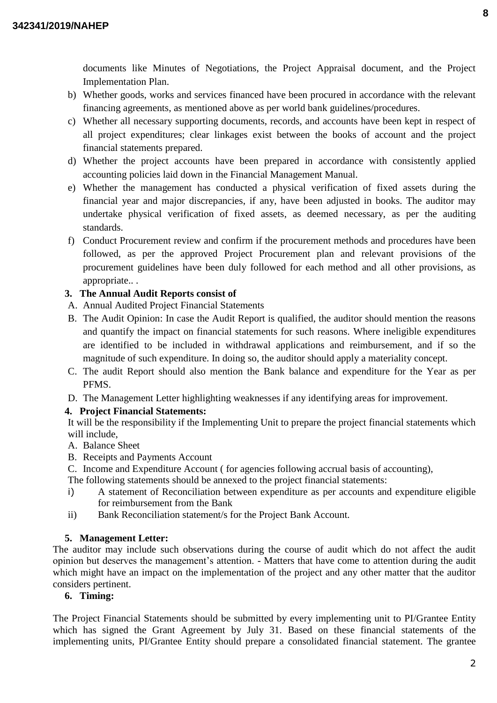documents like Minutes of Negotiations, the Project Appraisal document, and the Project Implementation Plan.

- b) Whether goods, works and services financed have been procured in accordance with the relevant financing agreements, as mentioned above as per world bank guidelines/procedures.
- c) Whether all necessary supporting documents, records, and accounts have been kept in respect of all project expenditures; clear linkages exist between the books of account and the project financial statements prepared.
- d) Whether the project accounts have been prepared in accordance with consistently applied accounting policies laid down in the Financial Management Manual.
- e) Whether the management has conducted a physical verification of fixed assets during the financial year and major discrepancies, if any, have been adjusted in books. The auditor may undertake physical verification of fixed assets, as deemed necessary, as per the auditing standards.
- f) Conduct Procurement review and confirm if the procurement methods and procedures have been followed, as per the approved Project Procurement plan and relevant provisions of the procurement guidelines have been duly followed for each method and all other provisions, as appropriate.. .

# **3. The Annual Audit Reports consist of**

- A. Annual Audited Project Financial Statements
- B. The Audit Opinion: In case the Audit Report is qualified, the auditor should mention the reasons and quantify the impact on financial statements for such reasons. Where ineligible expenditures are identified to be included in withdrawal applications and reimbursement, and if so the magnitude of such expenditure. In doing so, the auditor should apply a materiality concept.
- C. The audit Report should also mention the Bank balance and expenditure for the Year as per PFMS.
- D. The Management Letter highlighting weaknesses if any identifying areas for improvement.

# **4. Project Financial Statements:**

It will be the responsibility if the Implementing Unit to prepare the project financial statements which will include,

- A. Balance Sheet
- B. Receipts and Payments Account

C. Income and Expenditure Account ( for agencies following accrual basis of accounting),

- The following statements should be annexed to the project financial statements:
- i) A statement of Reconciliation between expenditure as per accounts and expenditure eligible for reimbursement from the Bank
- ii) Bank Reconciliation statement/s for the Project Bank Account.

# **5. Management Letter:**

The auditor may include such observations during the course of audit which do not affect the audit opinion but deserves the management's attention. - Matters that have come to attention during the audit which might have an impact on the implementation of the project and any other matter that the auditor considers pertinent.

## **6. Timing:**

The Project Financial Statements should be submitted by every implementing unit to PI/Grantee Entity which has signed the Grant Agreement by July 31. Based on these financial statements of the implementing units, PI/Grantee Entity should prepare a consolidated financial statement. The grantee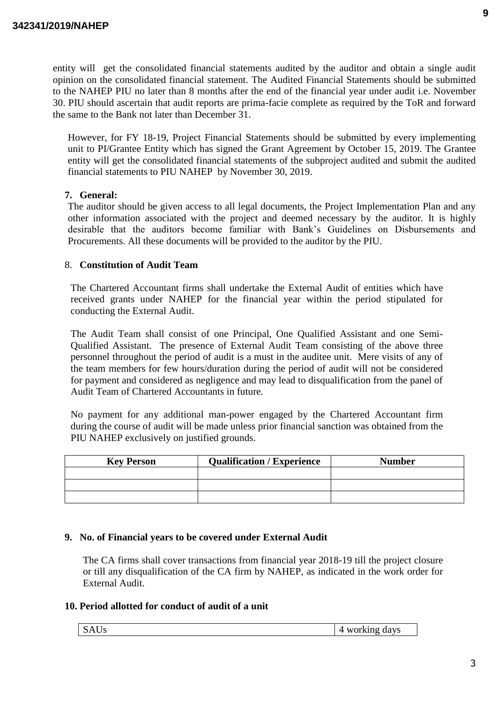entity will get the consolidated financial statements audited by the auditor and obtain a single audit opinion on the consolidated financial statement. The Audited Financial Statements should be submitted to the NAHEP PIU no later than 8 months after the end of the financial year under audit i.e. November 30. PIU should ascertain that audit reports are prima-facie complete as required by the ToR and forward the same to the Bank not later than December 31.

However, for FY 18-19, Project Financial Statements should be submitted by every implementing unit to PI/Grantee Entity which has signed the Grant Agreement by October 15, 2019. The Grantee entity will get the consolidated financial statements of the subproject audited and submit the audited financial statements to PIU NAHEP by November 30, 2019.

## **7. General:**

The auditor should be given access to all legal documents, the Project Implementation Plan and any other information associated with the project and deemed necessary by the auditor. It is highly desirable that the auditors become familiar with Bank's Guidelines on Disbursements and Procurements. All these documents will be provided to the auditor by the PIU.

## 8. **Constitution of Audit Team**

The Chartered Accountant firms shall undertake the External Audit of entities which have received grants under NAHEP for the financial year within the period stipulated for conducting the External Audit.

The Audit Team shall consist of one Principal, One Qualified Assistant and one Semi-Qualified Assistant. The presence of External Audit Team consisting of the above three personnel throughout the period of audit is a must in the auditee unit. Mere visits of any of the team members for few hours/duration during the period of audit will not be considered for payment and considered as negligence and may lead to disqualification from the panel of Audit Team of Chartered Accountants in future.

No payment for any additional man-power engaged by the Chartered Accountant firm during the course of audit will be made unless prior financial sanction was obtained from the PIU NAHEP exclusively on justified grounds.

| <b>Key Person</b> | <b>Qualification / Experience</b> | <b>Number</b> |
|-------------------|-----------------------------------|---------------|
|                   |                                   |               |
|                   |                                   |               |
|                   |                                   |               |

## **9. No. of Financial years to be covered under External Audit**

The CA firms shall cover transactions from financial year 2018-19 till the project closure or till any disqualification of the CA firm by NAHEP, as indicated in the work order for External Audit.

## **10. Period allotted for conduct of audit of a unit**

| $\sim$<br>ט טוב<br>ັ | davs<br>.<br>"K 1 N U<br>$\mathbf{M}$ |
|----------------------|---------------------------------------|
|                      |                                       |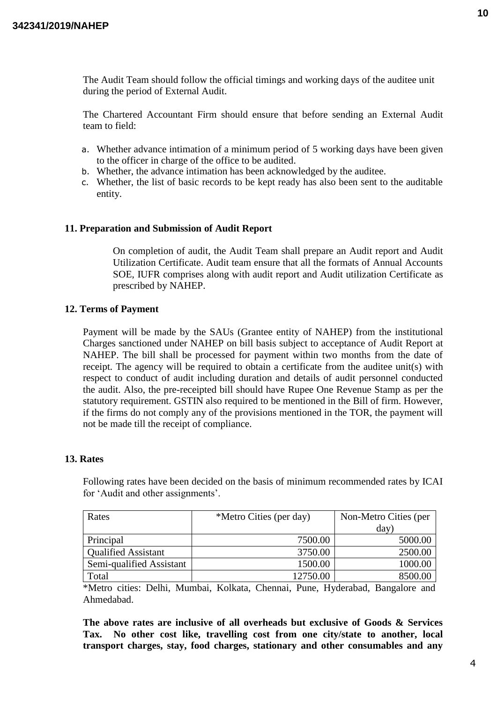The Audit Team should follow the official timings and working days of the auditee unit during the period of External Audit.

The Chartered Accountant Firm should ensure that before sending an External Audit team to field:

- a. Whether advance intimation of a minimum period of 5 working days have been given to the officer in charge of the office to be audited.
- b. Whether, the advance intimation has been acknowledged by the auditee.
- c. Whether, the list of basic records to be kept ready has also been sent to the auditable entity.

#### **11. Preparation and Submission of Audit Report**

On completion of audit, the Audit Team shall prepare an Audit report and Audit Utilization Certificate. Audit team ensure that all the formats of Annual Accounts SOE, IUFR comprises along with audit report and Audit utilization Certificate as prescribed by NAHEP.

#### **12. Terms of Payment**

Payment will be made by the SAUs (Grantee entity of NAHEP) from the institutional Charges sanctioned under NAHEP on bill basis subject to acceptance of Audit Report at NAHEP. The bill shall be processed for payment within two months from the date of receipt. The agency will be required to obtain a certificate from the auditee unit(s) with respect to conduct of audit including duration and details of audit personnel conducted the audit. Also, the pre-receipted bill should have Rupee One Revenue Stamp as per the statutory requirement. GSTIN also required to be mentioned in the Bill of firm. However, if the firms do not comply any of the provisions mentioned in the TOR, the payment will not be made till the receipt of compliance.

## **13. Rates**

Following rates have been decided on the basis of minimum recommended rates by ICAI for 'Audit and other assignments'.

| Rates                      | *Metro Cities (per day) | Non-Metro Cities (per |
|----------------------------|-------------------------|-----------------------|
|                            |                         | day)                  |
| Principal                  | 7500.00                 | 5000.00               |
| <b>Qualified Assistant</b> | 3750.00                 | 2500.00               |
| Semi-qualified Assistant   | 1500.00                 | 1000.00               |
| Total                      | 12750.00                | 8500.00               |

\*Metro cities: Delhi, Mumbai, Kolkata, Chennai, Pune, Hyderabad, Bangalore and Ahmedabad.

**The above rates are inclusive of all overheads but exclusive of Goods & Services Tax. No other cost like, travelling cost from one city/state to another, local transport charges, stay, food charges, stationary and other consumables and any**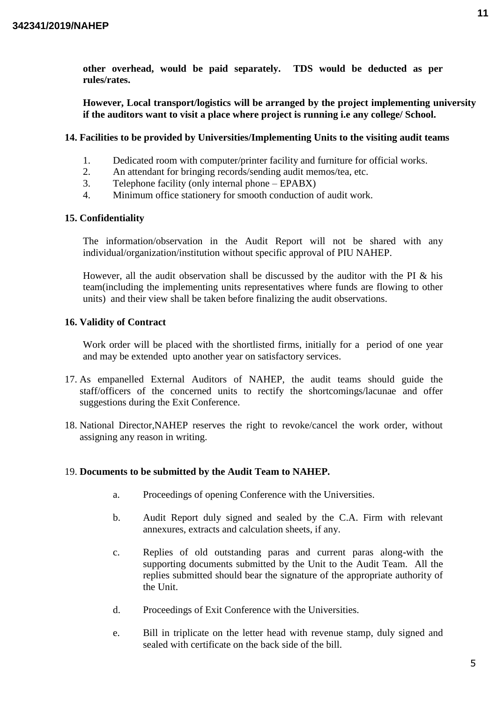**other overhead, would be paid separately. TDS would be deducted as per rules/rates.**

**However, Local transport/logistics will be arranged by the project implementing university if the auditors want to visit a place where project is running i.e any college/ School.**

## **14. Facilities to be provided by Universities/Implementing Units to the visiting audit teams**

- 1. Dedicated room with computer/printer facility and furniture for official works.
- 2. An attendant for bringing records/sending audit memos/tea, etc.
- 3. Telephone facility (only internal phone EPABX)
- 4. Minimum office stationery for smooth conduction of audit work.

## **15. Confidentiality**

The information/observation in the Audit Report will not be shared with any individual/organization/institution without specific approval of PIU NAHEP.

However, all the audit observation shall be discussed by the auditor with the PI & his team(including the implementing units representatives where funds are flowing to other units) and their view shall be taken before finalizing the audit observations.

## **16. Validity of Contract**

Work order will be placed with the shortlisted firms, initially for a period of one year and may be extended upto another year on satisfactory services.

- 17. As empanelled External Auditors of NAHEP, the audit teams should guide the staff/officers of the concerned units to rectify the shortcomings/lacunae and offer suggestions during the Exit Conference.
- 18. National Director,NAHEP reserves the right to revoke/cancel the work order, without assigning any reason in writing.

## 19. **Documents to be submitted by the Audit Team to NAHEP.**

- a. Proceedings of opening Conference with the Universities.
- b. Audit Report duly signed and sealed by the C.A. Firm with relevant annexures, extracts and calculation sheets, if any.
- c. Replies of old outstanding paras and current paras along-with the supporting documents submitted by the Unit to the Audit Team. All the replies submitted should bear the signature of the appropriate authority of the Unit.
- d. Proceedings of Exit Conference with the Universities.
- e. Bill in triplicate on the letter head with revenue stamp, duly signed and sealed with certificate on the back side of the bill.